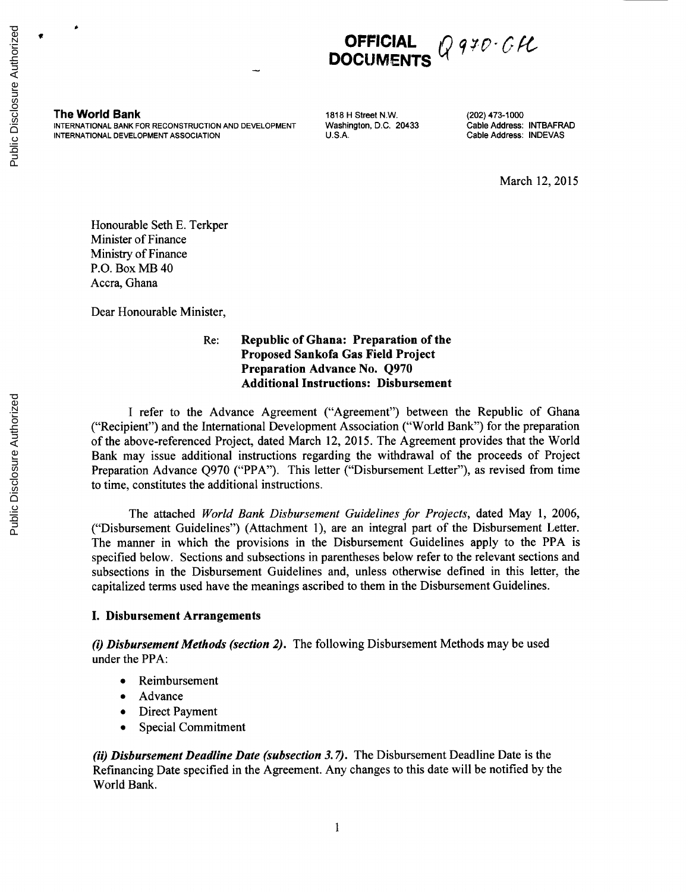

**The World Bank 1818 H Street N.W.** (202) 473-1000<br>
INTERNATIONAL BANK FOR RECONSTRUCTION AND DEVELOPMENT Washington, D.C. 20433 Cable Address: INTBAFRAD **INTERNATIONAL** BANK FOR **RECONSTRUCTION AND DEVELOPMENT** Washington, **D.C.** 20433 Cable Address: INTBAFRAD **INTERNATIONAL DEVELOPMENT ASSOCIATION** 

March 12, **2015**

Honourable Seth **E.** Terkper Minister of Finance Ministry of Finance P.O. Box MB 40 Accra, Ghana

Dear Honourable Minister,

### Re: Republic of Ghana: Preparation of the **Proposed Sankofa Gas Field Project** Preparation Advance No. **Q970** Additional Instructions: Disbursement

**I** refer to the Advance Agreement ("Agreement") between the Republic of Ghana ("Recipient") and the International Development Association ("World Bank") for the preparation of the above-referenced Project, dated March 12, **2015.** The Agreement provides that the World Bank may issue additional instructions regarding the withdrawal of the proceeds of Project Preparation Advance **Q970** ("PPA"). This letter ("Disbursement Letter"), as revised from time to time, constitutes the additional instructions.

The attached *World Bank Disbursement Guidelines for Projects,* dated May **1, 2006,** ("Disbursement Guidelines") (Attachment **1),** are an integral part of the Disbursement Letter. The manner in which the provisions in the Disbursement Guidelines apply to the PPA is specified below. Sections and subsections in parentheses below refer to the relevant sections and subsections in the Disbursement Guidelines and, unless otherwise defined in this letter, the capitalized terms used have the meanings ascribed to them in the Disbursement Guidelines.

#### **I. Disbursement Arrangements**

*(i) Disbursement Methods (section 2).* The following Disbursement Methods may be used under the PPA:

- Reimbursement
- Advance
- Direct Payment
- Special Commitment

*(ii) Disbursement Deadline Date (subsection 3.7).* The Disbursement Deadline Date is the Refinancing Date specified in the Agreement. Any changes to this date will be notified **by** the World Bank.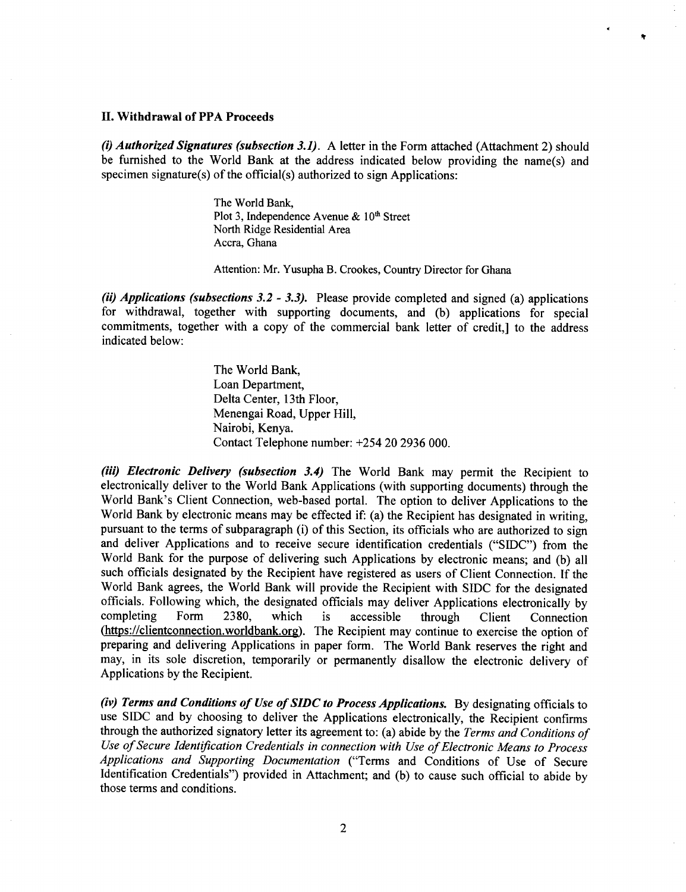#### **II. Withdrawal of PPA Proceeds**

**(i)** *Authorized Signatures (subsection 3.1).* **A** letter in the Form attached (Attachment 2) should be furnished to the World Bank at the address indicated below providing the name(s) and specimen signature(s) of the official(s) authorized to sign Applications:

 $\bullet$ 

The World Bank, Plot 3, Independence Avenue & 10<sup>th</sup> Street North Ridge Residential Area Accra, Ghana

Attention: Mr. Yusupha B. Crookes, Country Director for Ghana

*(ii) Applications (subsections 3.2* **-** *3.3).* Please provide completed and signed (a) applications for withdrawal, together with supporting documents, and **(b)** applications for special commitments, together with a copy of the commercial bank letter of credit,] to the address indicated below:

> The World Bank, Loan Department, Delta Center, 13th Floor, Menengai Road, Upper Hill, Nairobi, Kenya. Contact Telephone number: *+254* 20 **2936 000.**

*(iii) Electronic Delivery (subsection 3.4)* The World Bank may permit the Recipient to electronically deliver to the World Bank Applications (with supporting documents) through the World Bank's Client Connection, web-based portal. The option to deliver Applications to the World Bank by electronic means may be effected if: (a) the Recipient has designated in writing, pursuant to the terms of subparagraph (i) of this Section, its officials who are authorized to sign and deliver Applications and to receive secure identification credentials **("SIDC")** from the World Bank for the purpose of delivering such Applications **by** electronic means; and **(b)** all such officials designated **by** the Recipient have registered as users of Client Connection. **If** the World Bank agrees, the World Bank will provide the Recipient with **SIDC** for the designated officials. Following which, the designated officials may deliver Applications electronically **by** completing Form **2380,** which is accessible through Client Connection (https://clientconnection.worldbank.org). The Recipient may continue to exercise the option of preparing and delivering Applications in paper form. The World Bank reserves the right and may, in its sole discretion, temporarily or permanently disallow the electronic delivery of Applications **by** the Recipient.

*(iv) Terms and Conditions of Use of SIDC to Process Applications.* **By** designating officials to use **SIDC** and **by** choosing to deliver the Applications electronically, the Recipient confirms through the authorized signatory letter its agreement to: (a) abide **by** the *Terms and Conditions of Use of Secure Identification Credentials in connection with Use of Electronic Means to Process Applications and Supporting Documentation* ("Terms and Conditions of Use of Secure Identification Credentials") provided in Attachment; and **(b)** to cause such official to abide **by** those terms and conditions.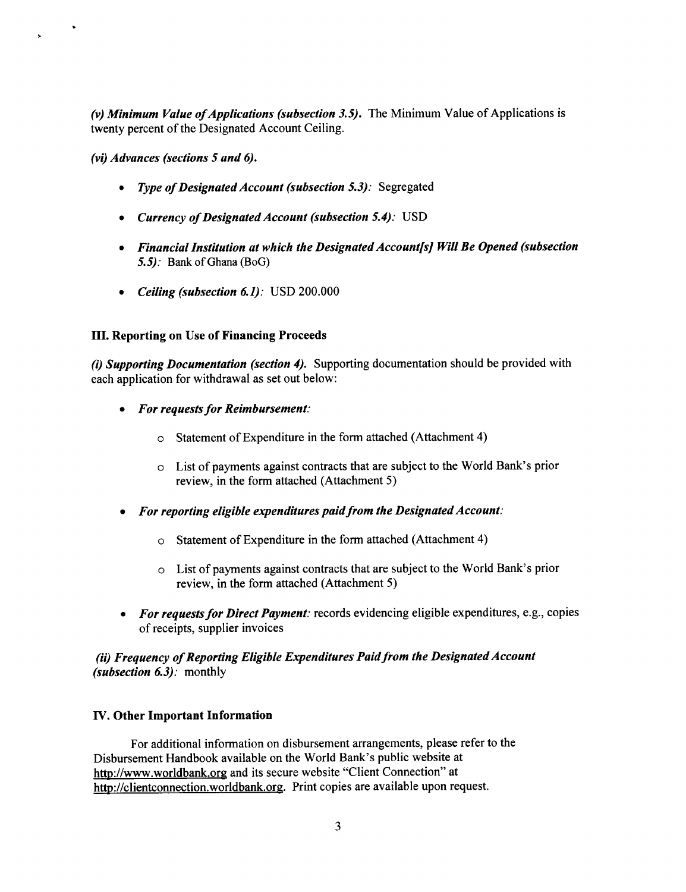(v) Minimum Value of Applications (subsection 3.5). The Minimum Value of Applications is twenty percent of the Designated Account Ceiling.

*(vi) Advances (sections 5 and 6).*

- *\* Type ofDesignated Account (subsection 5.3):* Segregated
- *\* Currency of Designated Account (subsection 5.4):* **USD**
- *\* Financial Institution at which the Designated Account[s] Will Be Opened (subsection 5.5):* Bank of Ghana (BoG)
- *\* Ceiling (subsection 6.1):* **USD** 200.000

## **III. Reporting on Use of Financing Proceeds**

(i) *Supporting Documentation (section 4).* Supporting documentation should be provided with each application for withdrawal as set out below:

- *\* For requests for Reimbursement:*
	- o Statement of Expenditure in the form attached (Attachment 4)
	- o List of payments against contracts that are subject to the World Bank's prior review, in the form attached (Attachment **5)**
- *\* For reporting eligible expenditures paid from the Designated Account:*
	- o Statement of Expenditure in the form attached (Attachment 4)
	- o List of payments against contracts that are subject to the World Bank's prior review, in the form attached (Attachment **5)**
- *For requests for Direct Payment:* records evidencing eligible expenditures, e.g., copies of receipts, supplier invoices

# *(ii) Frequency of Reporting Eligible Expenditures Paid from the Designated Account (subsection 6.3):* monthly

## **IV. Other Important Information**

For additional information on disbursement arrangements, please refer to the Disbursement Handbook available on the World Bank's public website at http://www.worldbank.org and its secure website "Client Connection" at http://clientconnection.worldbank.org. Print copies are available upon request.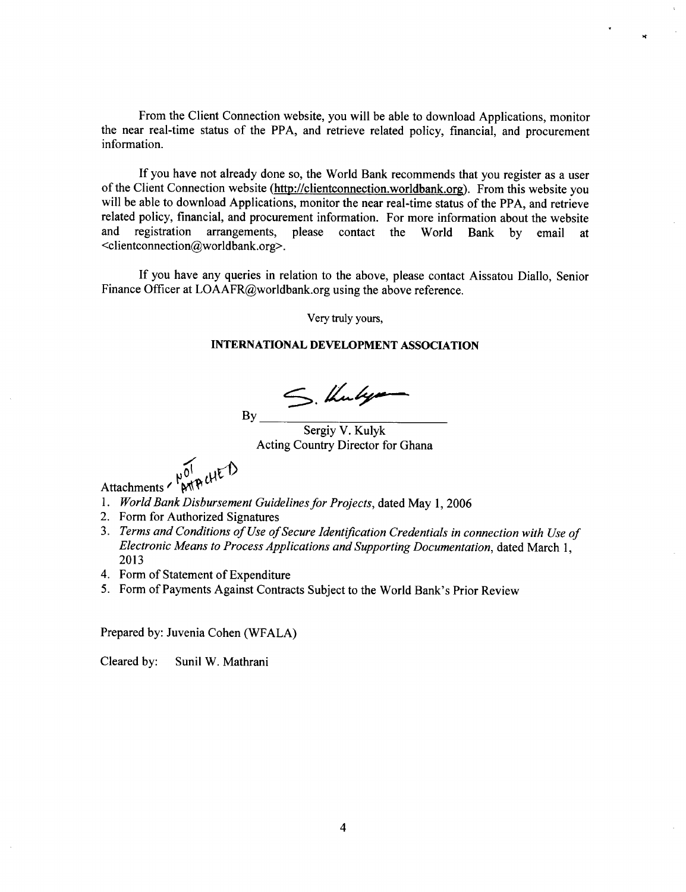From the Client Connection website, you will be able to download Applications, monitor the near real-time status of the PPA, and retrieve related policy, financial, and procurement information.

**If** you have not already done so, the World Bank recommends that you register as a user of the Client Connection website (http://clientconnection.worldbank.org). From this website you will be able to download Applications, monitor the near real-time status of the PPA, and retrieve related policy, financial, and procurement information. For more information about the website<br>and registration arrangements, please contact the World Bank by email at registration arrangements, please contact the World Bank by email at <clientconnection@worldbank.org>.

**If** you have any queries in relation to the above, please contact Aissatou Diallo, Senior Finance Officer at LOAAFR@worldbank.org using the above reference.

Very truly yours,

#### **INTERNATIONAL DEVELOPMENT ASSOCIATION**

S. Kulya

 $By_$ 

Sergiy V. Kulyk Acting Country Director for Ghana

 $M_{\text{peak}}$ 

Attachments '

- **1.** *World Bank Disbursement Guidelines for Projects,* dated May **1, 2006**
- 2. Form for Authorized Signatures
- **3.** *Terms and Conditions of Use ofSecure Identification Credentials in connection with Use of Electronic Means to Process Applications and Supporting Documentation,* dated March **1, 2013**
- 4. Form of Statement of Expenditure
- *5.* Form of Payments Against Contracts Subject to the World Bank's Prior Review

Prepared **by:** Juvenia Cohen (WFALA)

Cleared **by:** Sunil W. Mathrani